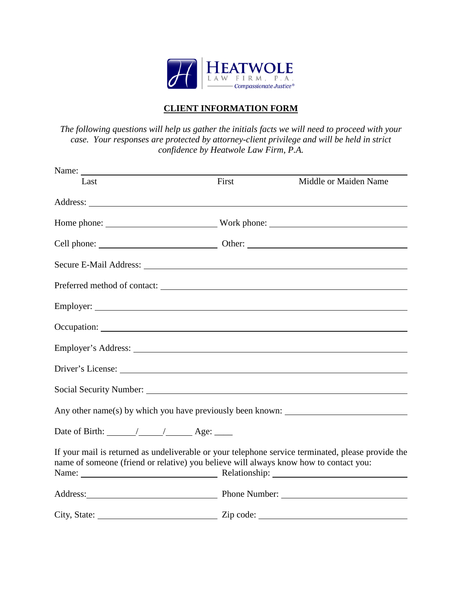

## **CLIENT INFORMATION FORM**

*The following questions will help us gather the initials facts we will need to proceed with your case. Your responses are protected by attorney-client privilege and will be held in strict confidence by Heatwole Law Firm, P.A.*

| Name:                                                                                 |                                                                                                                                                                                                                                                                                                                                                                                                                                                                                 |                                                                                                    |
|---------------------------------------------------------------------------------------|---------------------------------------------------------------------------------------------------------------------------------------------------------------------------------------------------------------------------------------------------------------------------------------------------------------------------------------------------------------------------------------------------------------------------------------------------------------------------------|----------------------------------------------------------------------------------------------------|
| Last                                                                                  | First                                                                                                                                                                                                                                                                                                                                                                                                                                                                           | Middle or Maiden Name                                                                              |
|                                                                                       |                                                                                                                                                                                                                                                                                                                                                                                                                                                                                 |                                                                                                    |
|                                                                                       |                                                                                                                                                                                                                                                                                                                                                                                                                                                                                 |                                                                                                    |
|                                                                                       |                                                                                                                                                                                                                                                                                                                                                                                                                                                                                 |                                                                                                    |
|                                                                                       |                                                                                                                                                                                                                                                                                                                                                                                                                                                                                 |                                                                                                    |
|                                                                                       |                                                                                                                                                                                                                                                                                                                                                                                                                                                                                 | Preferred method of contact:                                                                       |
|                                                                                       |                                                                                                                                                                                                                                                                                                                                                                                                                                                                                 |                                                                                                    |
|                                                                                       |                                                                                                                                                                                                                                                                                                                                                                                                                                                                                 |                                                                                                    |
|                                                                                       |                                                                                                                                                                                                                                                                                                                                                                                                                                                                                 |                                                                                                    |
|                                                                                       |                                                                                                                                                                                                                                                                                                                                                                                                                                                                                 |                                                                                                    |
|                                                                                       |                                                                                                                                                                                                                                                                                                                                                                                                                                                                                 | Social Security Number: New York 2014                                                              |
|                                                                                       |                                                                                                                                                                                                                                                                                                                                                                                                                                                                                 |                                                                                                    |
| Date of Birth: $\angle$ / $\angle$ Age:                                               |                                                                                                                                                                                                                                                                                                                                                                                                                                                                                 |                                                                                                    |
| name of someone (friend or relative) you believe will always know how to contact you: |                                                                                                                                                                                                                                                                                                                                                                                                                                                                                 | If your mail is returned as undeliverable or your telephone service terminated, please provide the |
|                                                                                       |                                                                                                                                                                                                                                                                                                                                                                                                                                                                                 | Address: <u>New York: Phone Number:</u> Phone Number: 2008.                                        |
| City, State:                                                                          | $\overline{\phantom{a}}$ $\overline{\phantom{a}}$ $\overline{\phantom{a}}$ $\overline{\phantom{a}}$ $\overline{\phantom{a}}$ $\overline{\phantom{a}}$ $\overline{\phantom{a}}$ $\overline{\phantom{a}}$ $\overline{\phantom{a}}$ $\overline{\phantom{a}}$ $\overline{\phantom{a}}$ $\overline{\phantom{a}}$ $\overline{\phantom{a}}$ $\overline{\phantom{a}}$ $\overline{\phantom{a}}$ $\overline{\phantom{a}}$ $\overline{\phantom{a}}$ $\overline{\phantom{a}}$ $\overline{\$ |                                                                                                    |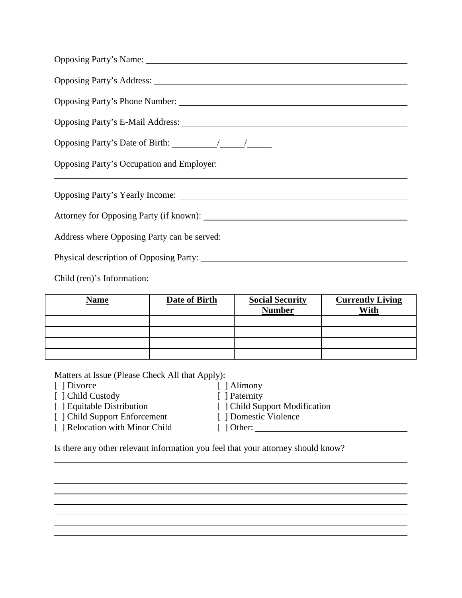| Opposing Party's Date of Birth: $\frac{1}{\sqrt{1-\frac{1}{\sqrt{1-\frac{1}{\sqrt{1-\frac{1}{\sqrt{1-\frac{1}{\sqrt{1-\frac{1}{\sqrt{1-\frac{1}{\sqrt{1-\frac{1}{\sqrt{1-\frac{1}{\sqrt{1-\frac{1}{\sqrt{1-\frac{1}{\sqrt{1-\frac{1}{\sqrt{1-\frac{1}{\sqrt{1-\frac{1}{\sqrt{1-\frac{1}{\sqrt{1-\frac{1}{\sqrt{1-\frac{1}{\sqrt{1-\frac{1}{\sqrt{1-\frac{1}{\sqrt{1-\frac{1}{\sqrt{1-\frac{1}{\sqrt{$ |  |  |
|-------------------------------------------------------------------------------------------------------------------------------------------------------------------------------------------------------------------------------------------------------------------------------------------------------------------------------------------------------------------------------------------------------|--|--|
|                                                                                                                                                                                                                                                                                                                                                                                                       |  |  |
| the control of the control of the control of the control of the control of the control of the control of<br>Opposing Party's Yearly Income: 1988. The Second Second Second Second Second Second Second Second Second Second Second Second Second Second Second Second Second Second Second Second Second Second Second Second Second Secon                                                            |  |  |
|                                                                                                                                                                                                                                                                                                                                                                                                       |  |  |
|                                                                                                                                                                                                                                                                                                                                                                                                       |  |  |
| Physical description of Opposing Party:                                                                                                                                                                                                                                                                                                                                                               |  |  |

Child (ren)'s Information:

| <b>Name</b> | Date of Birth | <b>Social Security</b><br><b>Number</b> | <b>Currently Living</b><br>With |
|-------------|---------------|-----------------------------------------|---------------------------------|
|             |               |                                         |                                 |
|             |               |                                         |                                 |
|             |               |                                         |                                 |
|             |               |                                         |                                 |

Matters at Issue (Please Check All that Apply):

- 
- [ ] Divorce [ ] Alimony [ ] Alimony [ ] Child Custody [ ] Paternity
- [ ] Child Custody<br>[ ] Equitable Distribution
- 
- $[ ]$  Relocation with Minor Child
- 
- 
- [ ] Child Support Modification<br>[ ] Domestic Violence
	-

[ ] Child Support Enforcement [ ] Domestic Violence

Is there any other relevant information you feel that your attorney should know?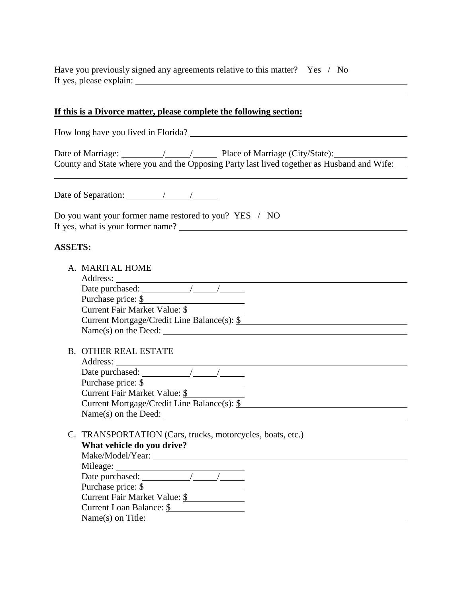Have you previously signed any agreements relative to this matter? Yes / No If yes, please explain:

## **If this is a Divorce matter, please complete the following section:**

| How long have you lived in Florida?                                                                                                          |  |  |  |
|----------------------------------------------------------------------------------------------------------------------------------------------|--|--|--|
| County and State where you and the Opposing Party last lived together as Husband and Wife:                                                   |  |  |  |
|                                                                                                                                              |  |  |  |
| Do you want your former name restored to you? YES / NO<br>If yes, what is your former name?                                                  |  |  |  |
| <b>ASSETS:</b>                                                                                                                               |  |  |  |
| A. MARITAL HOME                                                                                                                              |  |  |  |
| Purchase price: <u>\$</u><br>Current Fair Market Value: \$<br>Current Mortgage/Credit Line Balance(s): \$<br>$Name(s)$ on the Deed: $\angle$ |  |  |  |
| <b>B. OTHER REAL ESTATE</b>                                                                                                                  |  |  |  |
| Purchase price: \$<br>Current Fair Market Value: \$<br>Current Mortgage/Credit Line Balance(s): \$                                           |  |  |  |
| C. TRANSPORTATION (Cars, trucks, motorcycles, boats, etc.)<br>What vehicle do you drive?                                                     |  |  |  |
| Date purchased: $\angle$<br>Purchase price: \$<br>Current Fair Market Value: \$<br>Current Loan Balance: \$                                  |  |  |  |
|                                                                                                                                              |  |  |  |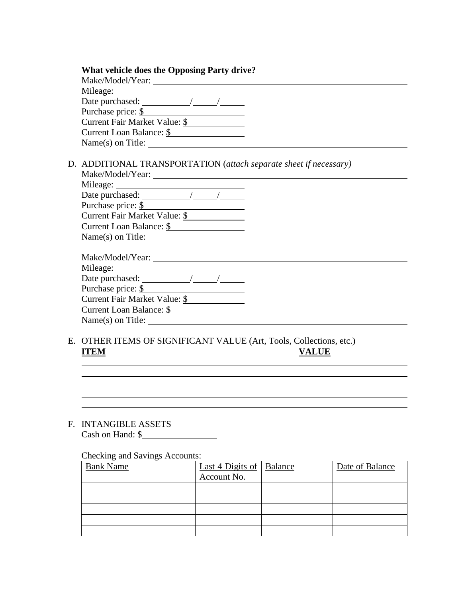| <b>What vehicle does the Opposing Party drive?</b>                |
|-------------------------------------------------------------------|
|                                                                   |
|                                                                   |
|                                                                   |
| Purchase price: $\frac{\S}{}$                                     |
| Current Fair Market Value: \$                                     |
| Current Loan Balance: \$                                          |
| $Name(s)$ on Title:                                               |
| D. ADDITIONAL TRANSPORTATION (attach separate sheet if necessary) |
|                                                                   |
| Date purchased: $\sqrt{\frac{1}{\sqrt{1-\frac{1}{2}}}}$           |
| Purchase price: \$                                                |
| Current Fair Market Value: \$                                     |
| Current Loan Balance: \$                                          |
|                                                                   |
|                                                                   |
|                                                                   |
|                                                                   |
| Purchase price: \$                                                |
| Current Fair Market Value: \$                                     |
| Current Loan Balance: \$                                          |
| $Name(s)$ on Title:                                               |
|                                                                   |

E. OTHER ITEMS OF SIGNIFICANT VALUE (Art, Tools, Collections, etc.) **ITEM VALUE**

## F. INTANGIBLE ASSETS Cash on Hand: \$

## Checking and Savings Accounts:

| <b>Bank Name</b> | <u>Last 4 Digits of   Balance</u><br>Account No. | Date of Balance |
|------------------|--------------------------------------------------|-----------------|
|                  |                                                  |                 |
|                  |                                                  |                 |
|                  |                                                  |                 |
|                  |                                                  |                 |
|                  |                                                  |                 |